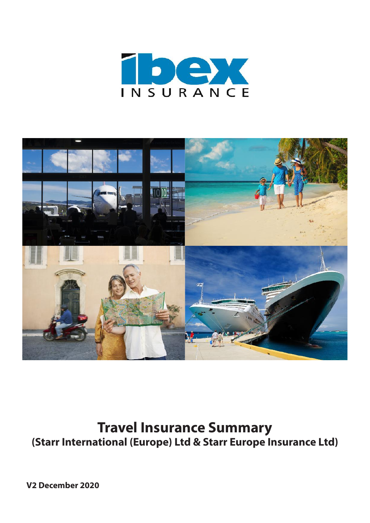



# **Travel Insurance Summary (Starr International (Europe) Ltd & Starr Europe Insurance Ltd)**

**V2 December 2020**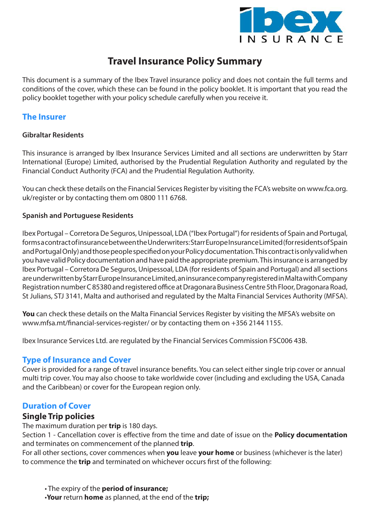

## **Travel Insurance Policy Summary**

This document is a summary of the Ibex Travel insurance policy and does not contain the full terms and conditions of the cover, which these can be found in the policy booklet. It is important that you read the policy booklet together with your policy schedule carefully when you receive it.

## **The Insurer**

## **Gibraltar Residents**

This insurance is arranged by Ibex Insurance Services Limited and all sections are underwritten by Starr International (Europe) Limited, authorised by the Prudential Regulation Authority and regulated by the Financial Conduct Authority (FCA) and the Prudential Regulation Authority.

You can check these details on the Financial Services Register by visiting the FCA's website on www.fca.org. uk/register or by contacting them om 0800 111 6768.

## **Spanish and Portuguese Residents**

Ibex Portugal – Corretora De Seguros, Unipessoal, LDA ("Ibex Portugal") for residents of Spain and Portugal, forms a contract of insurance between the Underwriters: Starr Europe Insurance Limited (for residents of Spain and Portugal Only) and those people specified on your Policy documentation. This contract is only valid when you have valid Policy documentation and have paid the appropriate premium. This insurance is arranged by Ibex Portugal – Corretora De Seguros, Unipessoal, LDA (for residents of Spain and Portugal) and all sections are underwritten by Starr Europe Insurance Limited, an insurance company registered in Malta with Company Registration number C 85380 and registered office at Dragonara Business Centre 5th Floor, Dragonara Road, St Julians, STJ 3141, Malta and authorised and regulated by the Malta Financial Services Authority (MFSA).

**You** can check these details on the Malta Financial Services Register by visiting the MFSA's website on www.mfsa.mt/financial-services-register/ or by contacting them on +356 2144 1155.

Ibex Insurance Services Ltd. are regulated by the Financial Services Commission FSC006 43B.

## **Type of Insurance and Cover**

Cover is provided for a range of travel insurance benefits. You can select either single trip cover or annual multi trip cover. You may also choose to take worldwide cover (including and excluding the USA, Canada and the Caribbean) or cover for the European region only.

## **Duration of Cover**

## **Single Trip policies**

The maximum duration per **trip** is 180 days.

Section 1 - Cancellation cover is effective from the time and date of issue on the **Policy documentation** and terminates on commencement of the planned **trip**.

For all other sections, cover commences when **you** leave **your home** or business (whichever is the later) to commence the **trip** and terminated on whichever occurs first of the following:

• The expiry of the **period of insurance;**

•**Your** return **home** as planned, at the end of the **trip;**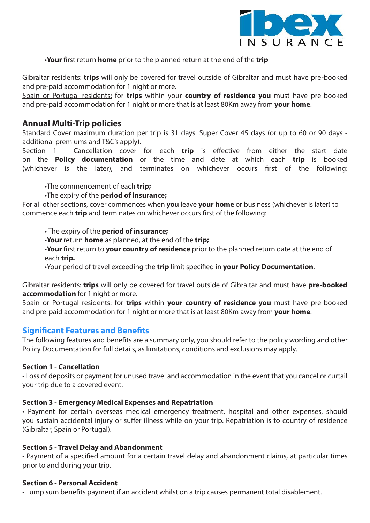

## •**Your** first return **home** prior to the planned return at the end of the **trip**

Gibraltar residents: **trips** will only be covered for travel outside of Gibraltar and must have pre-booked and pre-paid accommodation for 1 night or more.

Spain or Portugal residents: for **trips** within your **country of residence you** must have pre-booked and pre-paid accommodation for 1 night or more that is at least 80Km away from **your home**.

## **Annual Multi-Trip policies**

Standard Cover maximum duration per trip is 31 days. Super Cover 45 days (or up to 60 or 90 days additional premiums and T&C's apply).

Section 1 - Cancellation cover for each **trip** is effective from either the start date on the **Policy documentation** or the time and date at which each **trip** is booked (whichever is the later), and terminates on whichever occurs first of the following:

## •The commencement of each **trip;**

## •The expiry of the **period of insurance;**

For all other sections, cover commences when **you** leave **your home** or business (whichever is later) to commence each **trip** and terminates on whichever occurs first of the following:

• The expiry of the **period of insurance;**

- •**Your** return **home** as planned, at the end of the **trip;**
- •**Your** first return to **your country of residence** prior to the planned return date at the end of each **trip.**
- •Your period of travel exceeding the **trip** limit specified in **your Policy Documentation**.

Gibraltar residents: **trips** will only be covered for travel outside of Gibraltar and must have **pre-booked accommodation** for 1 night or more.

Spain or Portugal residents: for **trips** within **your country of residence you** must have pre-booked and pre-paid accommodation for 1 night or more that is at least 80Km away from **your home**.

## **Significant Features and Benefits**

The following features and benefits are a summary only, you should refer to the policy wording and other Policy Documentation for full details, as limitations, conditions and exclusions may apply.

## **Section 1 - Cancellation**

• Loss of deposits or payment for unused travel and accommodation in the event that you cancel or curtail your trip due to a covered event.

## **Section 3 - Emergency Medical Expenses and Repatriation**

• Payment for certain overseas medical emergency treatment, hospital and other expenses, should you sustain accidental injury or suffer illness while on your trip. Repatriation is to country of residence (Gibraltar, Spain or Portugal).

## **Section 5 - Travel Delay and Abandonment**

• Payment of a specified amount for a certain travel delay and abandonment claims, at particular times prior to and during your trip.

## **Section 6 - Personal Accident**

• Lump sum benefits payment if an accident whilst on a trip causes permanent total disablement.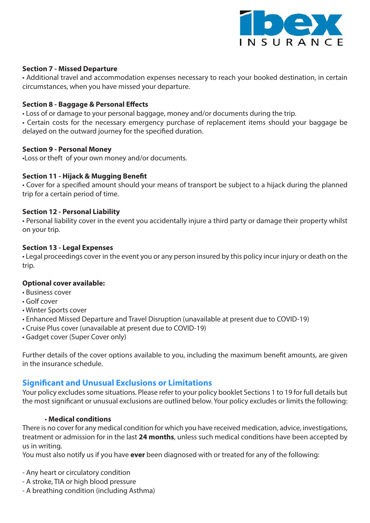

### **Section 7 - Missed Departure**

• Additional travel and accommodation expenses necessary to reach your booked destination, in certain circumstances, when you have missed your departure.

#### **Section 8 - Baggage & Personal Effects**

• Loss of or damage to your personal baggage, money and/or documents during the trip.

• Certain costs for the necessary emergency purchase of replacement items should your baggage be delayed on the outward journey for the specified duration.

#### **Section 9 - Personal Money**

•Loss or theft of your own money and/or documents.

#### **Section 11 - Hijack & Mugging Benefit**

• Cover for a specified amount should your means of transport be subject to a hijack during the planned trip for a certain period of time.

#### **Section 12 - Personal Liability**

• Personal liability cover in the event you accidentally injure a third party or damage their property whilst on your trip.

#### **Section 13 - Legal Expenses**

• Legal proceedings cover in the event you or any person insured by this policy incur injury or death on the trip.

#### **Optional cover available:**

- Business cover
- Golf cover
- Winter Sports cover
- Enhanced Missed Departure and Travel Disruption (unavailable at present due to COVID-19)
- Cruise Plus cover (unavailable at present due to COVID-19)
- Gadget cover (Super Cover only)

Further details of the cover options available to you, including the maximum benefit amounts, are given in the insurance schedule.

## **Significant and Unusual Exclusions or Limitations**

Your policy excludes some situations. Please refer to your policy booklet Sections 1 to 19 for full details but the most significant or unusual exclusions are outlined below. Your policy excludes or limits the following:

#### • **Medical conditions**

There is no cover for any medical condition for which you have received medication, advice, investigations, treatment or admission for in the last **24 months**, unless such medical conditions have been accepted by us in writing.

You must also notify us if you have **ever** been diagnosed with or treated for any of the following:

- Any heart or circulatory condition
- A stroke, TIA or high blood pressure
- A breathing condition (including Asthma)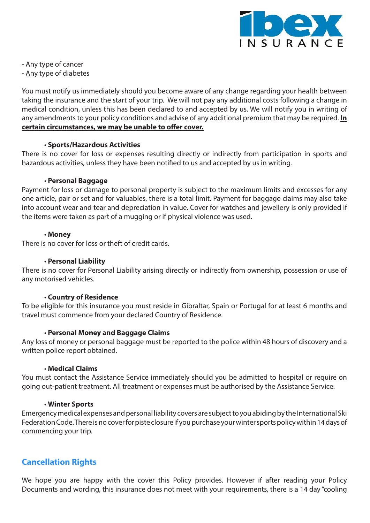

- Any type of cancer

- Any type of diabetes

You must notify us immediately should you become aware of any change regarding your health between taking the insurance and the start of your trip. We will not pay any additional costs following a change in medical condition, unless this has been declared to and accepted by us. We will notify you in writing of any amendments to your policy conditions and advise of any additional premium that may be required. **In certain circumstances, we may be unable to offer cover.**

#### • **Sports/Hazardous Activities**

There is no cover for loss or expenses resulting directly or indirectly from participation in sports and hazardous activities, unless they have been notified to us and accepted by us in writing.

#### • **Personal Baggage**

Payment for loss or damage to personal property is subject to the maximum limits and excesses for any one article, pair or set and for valuables, there is a total limit. Payment for baggage claims may also take into account wear and tear and depreciation in value. Cover for watches and jewellery is only provided if the items were taken as part of a mugging or if physical violence was used.

#### • **Money**

There is no cover for loss or theft of credit cards.

#### • **Personal Liability**

There is no cover for Personal Liability arising directly or indirectly from ownership, possession or use of any motorised vehicles.

#### • **Country of Residence**

To be eligible for this insurance you must reside in Gibraltar, Spain or Portugal for at least 6 months and travel must commence from your declared Country of Residence.

## • **Personal Money and Baggage Claims**

Any loss of money or personal baggage must be reported to the police within 48 hours of discovery and a written police report obtained.

#### • **Medical Claims**

You must contact the Assistance Service immediately should you be admitted to hospital or require on going out-patient treatment. All treatment or expenses must be authorised by the Assistance Service.

#### • **Winter Sports**

Emergency medical expenses and personal liability covers are subject to you abiding by the International Ski Federation Code. There is no cover for piste closure if you purchase your winter sports policy within 14 days of commencing your trip.

## **Cancellation Rights**

We hope you are happy with the cover this Policy provides. However if after reading your Policy Documents and wording, this insurance does not meet with your requirements, there is a 14 day "cooling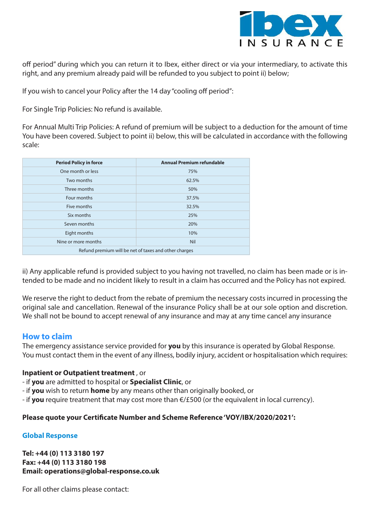

off period" during which you can return it to Ibex, either direct or via your intermediary, to activate this right, and any premium already paid will be refunded to you subject to point ii) below;

If you wish to cancel your Policy after the 14 day "cooling off period":

For Single Trip Policies: No refund is available.

For Annual Multi Trip Policies: A refund of premium will be subject to a deduction for the amount of time You have been covered. Subject to point ii) below, this will be calculated in accordance with the following scale:

| <b>Period Policy in force</b>                         | <b>Annual Premium refundable</b> |  |  |  |
|-------------------------------------------------------|----------------------------------|--|--|--|
| One month or less                                     | 75%                              |  |  |  |
| Two months                                            | 62.5%                            |  |  |  |
| Three months                                          | 50%                              |  |  |  |
| Four months                                           | 37.5%                            |  |  |  |
| Five months                                           | 32.5%                            |  |  |  |
| Six months                                            | 25%                              |  |  |  |
| Seven months<br>20%                                   |                                  |  |  |  |
| Eight months                                          | 10%                              |  |  |  |
| Nine or more months                                   | Nil                              |  |  |  |
| Refund premium will be net of taxes and other charges |                                  |  |  |  |

ii) Any applicable refund is provided subject to you having not travelled, no claim has been made or is intended to be made and no incident likely to result in a claim has occurred and the Policy has not expired.

We reserve the right to deduct from the rebate of premium the necessary costs incurred in processing the original sale and cancellation. Renewal of the insurance Policy shall be at our sole option and discretion. We shall not be bound to accept renewal of any insurance and may at any time cancel any insurance

## **How to claim**

The emergency assistance service provided for **you** by this insurance is operated by Global Response. You must contact them in the event of any illness, bodily injury, accident or hospitalisation which requires:

## **Inpatient or Outpatient treatment** , or

- if **you** are admitted to hospital or **Specialist Clinic**, or
- if **you** wish to return **home** by any means other than originally booked, or
- if **you** require treatment that may cost more than €/£500 (or the equivalent in local currency).

## **Please quote your Certificate Number and Scheme Reference 'VOY/IBX/2020/2021':**

## **Global Response**

**Tel: +44 (0) 113 3180 197 Fax: +44 (0) 113 3180 198 Email: operations@global-response.co.uk** 

For all other claims please contact: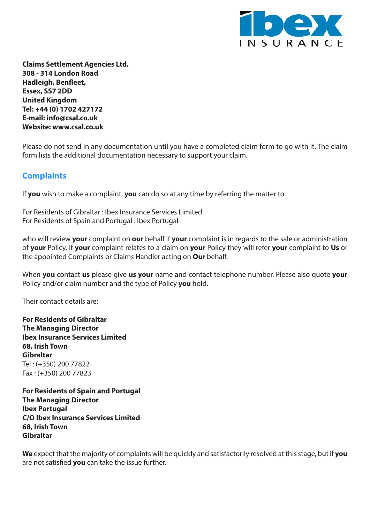

**Claims Settlement Agencies Ltd. 308 - 314 London Road Hadleigh, Benfleet, Essex, SS7 2DD United Kingdom Tel: +44 (0) 1702 427172 E-mail: info@csal.co.uk Website: www.csal.co.uk**

Please do not send in any documentation until you have a completed claim form to go with it. The claim form lists the additional documentation necessary to support your claim.

## **Complaints**

If **you** wish to make a complaint, **you** can do so at any time by referring the matter to

For Residents of Gibraltar : Ibex Insurance Services Limited For Residents of Spain and Portugal : Ibex Portugal

who will review **your** complaint on **our** behalf if **your** complaint is in regards to the sale or administration of **your** Policy, if **your** complaint relates to a claim on **your** Policy they will refer **your** complaint to **Us** or the appointed Complaints or Claims Handler acting on **Our** behalf.

When **you** contact **us** please give **us your** name and contact telephone number. Please also quote **your**  Policy and/or claim number and the type of Policy **you** hold.

Their contact details are:

**For Residents of Gibraltar The Managing Director Ibex Insurance Services Limited 68, Irish Town Gibraltar** Tel : (+350) 200 77822 Fax : (+350) 200 77823

**For Residents of Spain and Portugal The Managing Director Ibex Portugal C/O Ibex Insurance Services Limited 68, Irish Town Gibraltar**

**We** expect that the majority of complaints will be quickly and satisfactorily resolved at this stage, but if **you**  are not satisfied **you** can take the issue further.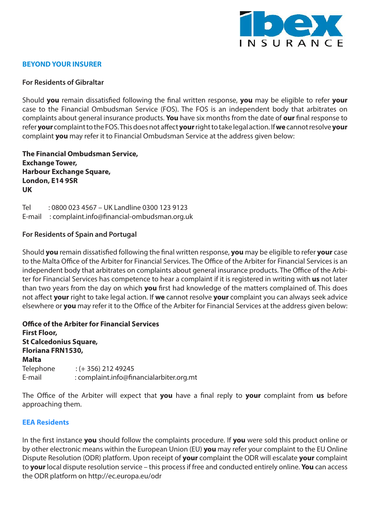

### **BEYOND YOUR INSURER**

#### **For Residents of Gibraltar**

Should **you** remain dissatisfied following the final written response, **you** may be eligible to refer **your**  case to the Financial Ombudsman Service (FOS). The FOS is an independent body that arbitrates on complaints about general insurance products. **You** have six months from the date of **our** final response to refer **your** complaint to the FOS. This does not affect **your** right to take legal action. If **we** cannot resolve **your**  complaint **you** may refer it to Financial Ombudsman Service at the address given below:

**The Financial Ombudsman Service, Exchange Tower, Harbour Exchange Square, London, E14 9SR UK**

Tel : 0800 023 4567 – UK Landline 0300 123 9123 E-mail : complaint.info@financial-ombudsman.org.uk

#### **For Residents of Spain and Portugal**

Should **you** remain dissatisfied following the final written response, **you** may be eligible to refer **your** case to the Malta Office of the Arbiter for Financial Services. The Office of the Arbiter for Financial Services is an independent body that arbitrates on complaints about general insurance products. The Office of the Arbiter for Financial Services has competence to hear a complaint if it is registered in writing with **us** not later than two years from the day on which **you** first had knowledge of the matters complained of. This does not affect **your** right to take legal action. If **we** cannot resolve **your** complaint you can always seek advice elsewhere or **you** may refer it to the Office of the Arbiter for Financial Services at the address given below:

**Office of the Arbiter for Financial Services First Floor, St Calcedonius Square, Floriana FRN1530, Malta** Telephone : (+ 356) 212 49245 E-mail : complaint.info@financialarbiter.org.mt

The Office of the Arbiter will expect that **you** have a final reply to **your** complaint from **us** before approaching them.

#### **EEA Residents**

In the first instance **you** should follow the complaints procedure. If **you** were sold this product online or by other electronic means within the European Union (EU) **you** may refer your complaint to the EU Online Dispute Resolution (ODR) platform. Upon receipt of **your** complaint the ODR will escalate **your** complaint to **your** local dispute resolution service – this process if free and conducted entirely online. **You** can access the ODR platform on http://ec.europa.eu/odr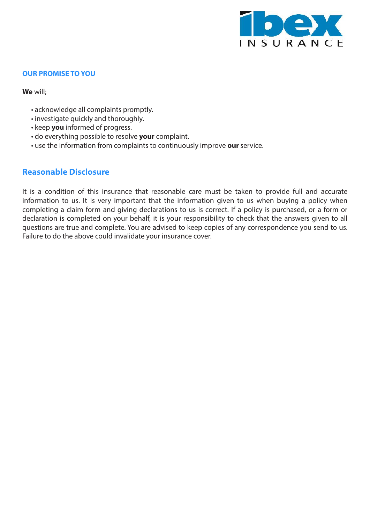

#### **OUR PROMISE TO YOU**

**We** will;

- acknowledge all complaints promptly.
- investigate quickly and thoroughly.
- keep **you** informed of progress.
- do everything possible to resolve **your** complaint.
- use the information from complaints to continuously improve **our** service.

## **Reasonable Disclosure**

It is a condition of this insurance that reasonable care must be taken to provide full and accurate information to us. It is very important that the information given to us when buying a policy when completing a claim form and giving declarations to us is correct. If a policy is purchased, or a form or declaration is completed on your behalf, it is your responsibility to check that the answers given to all questions are true and complete. You are advised to keep copies of any correspondence you send to us. Failure to do the above could invalidate your insurance cover.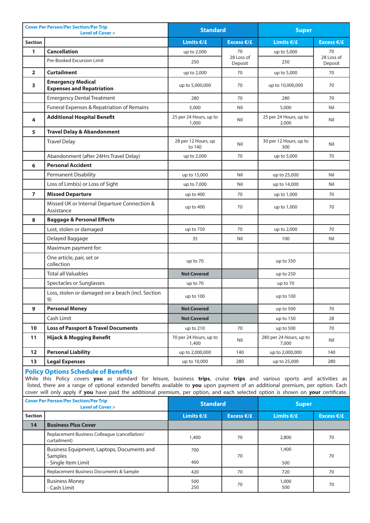| <b>Cover Per Person/Per Section/Per Trip</b><br><b>Level of Cover &gt;</b> |                                                              | <b>Standard</b>                 |                       | <b>Super</b>                     |                       |
|----------------------------------------------------------------------------|--------------------------------------------------------------|---------------------------------|-----------------------|----------------------------------|-----------------------|
| <b>Section</b>                                                             |                                                              | Limits $\epsilon/\epsilon$      | Excess $E/E$          | <b>Limits €/£</b>                | Excess $E/E$          |
| $\mathbf{1}$                                                               | <b>Cancellation</b>                                          | up to 2,000                     | 70                    | up to 5,000                      | 70                    |
|                                                                            | Pre-Booked Excursion Limit                                   | 250                             | 28 Loss of<br>Deposit | 250                              | 28 Loss of<br>Deposit |
| $\overline{2}$                                                             | <b>Curtailment</b>                                           | up to 2,000                     | 70                    | up to 5,000                      | 70                    |
| 3                                                                          | <b>Emergency Medical</b><br><b>Expenses and Repatriation</b> | up to 5,000,000                 | 70                    | up to 10,000,000                 | 70                    |
|                                                                            | <b>Emergency Dental Treatment</b>                            | 280                             | 70                    | 280                              | 70                    |
|                                                                            | Funeral Expenses & Repatriation of Remains                   | 5,000                           | Nil                   | 5,000                            | Nil                   |
| 4                                                                          | <b>Additional Hospital Benefit</b>                           | 25 per 24 Hours, up to<br>1,000 | Nil                   | 25 per 24 Hours, up to<br>2,000  | Nil                   |
| 5                                                                          | <b>Travel Delay &amp; Abandonment</b>                        |                                 |                       |                                  |                       |
|                                                                            | <b>Travel Delay</b>                                          | 28 per 12 Hours, up<br>to 140   | Nil                   | 30 per 12 Hours, up to<br>300    | Nil                   |
|                                                                            | Abandonment (after 24Hrs Travel Delay)                       | up to 2,000                     | 70                    | up to 5,000                      | 70                    |
| 6                                                                          | <b>Personal Accident</b>                                     |                                 |                       |                                  |                       |
|                                                                            | Permanent Disability                                         | up to 15,000                    | Nil                   | up to 25,000                     | Nil                   |
|                                                                            | Loss of Limb(s) or Loss of Sight                             | up to 7,000                     | Nil                   | up to 14,000                     | Nil                   |
| $\overline{7}$                                                             | <b>Missed Departure</b>                                      | up to 400                       | 70                    | up to 1,000                      | 70                    |
|                                                                            | Missed UK or Internal Departure Connection &<br>Assistance   | up to 400                       | 70                    | up to 1,000                      | 70                    |
| 8                                                                          | <b>Baggage &amp; Personal Effects</b>                        |                                 |                       |                                  |                       |
|                                                                            | Lost, stolen or damaged                                      | up to 750                       | 70                    | up to 2,000                      | 70                    |
|                                                                            | Delayed Baggage                                              | 35                              | Nil                   | 100                              | Nil                   |
|                                                                            | Maximum payment for:                                         |                                 |                       |                                  |                       |
|                                                                            | One article, pair, set or<br>collection                      | up to 70                        |                       | up to 350                        |                       |
|                                                                            | <b>Total all Valuables</b>                                   | <b>Not Covered</b>              |                       | up to 250                        |                       |
|                                                                            | Spectacles or Sunglasses                                     | up to 70                        |                       | up to 70                         |                       |
|                                                                            | Loss, stolen or damaged on a beach (incl. Section<br>9)      | up to 100                       |                       | up to 100                        |                       |
| 9                                                                          | <b>Personal Money</b>                                        | <b>Not Covered</b>              |                       | up to 500                        | 70                    |
|                                                                            | Cash Limit                                                   | <b>Not Covered</b>              |                       | up to 150                        | 28                    |
| 10                                                                         | <b>Loss of Passport &amp; Travel Documents</b>               | up to $210$                     | 70                    | up to 500                        | 70                    |
| 11                                                                         | <b>Hijack &amp; Mugging Benefit</b>                          | 70 per 24 Hours, up to<br>1,400 | Nil                   | 280 per 24 Hours, up to<br>7,000 | Nil                   |
| 12                                                                         | <b>Personal Liability</b>                                    | up to 2,000,000                 | 140                   | up to 2,000,000                  | 140                   |
| 13                                                                         | <b>Legal Expenses</b>                                        | up to 10,000                    | 280                   | up to 25,000                     | 280                   |

#### **Policy Options Schedule of Benefits**

While this Policy covers **you** as standard for leisure, business **trips**, cruise **trips** and various sports and activities as listed, there are a range of optional extended benefits available to **you** upon payment of an additional premium, per option. Each cover will only apply if **you** have paid the additional premium, per option, and each selected option is shown on **your** certificate.

| <b>Cover Per Person/Per Section/Per Trip</b><br><b>Level of Cover &gt;</b> |                                                                              | <b>Standard</b> |              | <b>Super</b> |              |
|----------------------------------------------------------------------------|------------------------------------------------------------------------------|-----------------|--------------|--------------|--------------|
| <b>Section</b>                                                             |                                                                              | Limits $€/£$    | Excess $E/E$ | Limits $€/£$ | Excess $E/E$ |
| 14                                                                         | <b>Business Plus Cover</b>                                                   |                 |              |              |              |
|                                                                            | Replacement Business Colleague (cancellation/<br>curtailment)                | 1,400           | 70           | 2,800        | 70           |
|                                                                            | Business Equipment, Laptops, Documents and<br>Samples<br>- Single Item Limit | 700<br>400      | 70           | 1,400<br>500 | 70           |
|                                                                            | Replacement Business Documents & Sample                                      | 420             | 70           | 720          | 70           |
|                                                                            | <b>Business Money</b><br>- Cash Limit                                        | 500<br>250      | 70           | 1,000<br>500 | 70           |